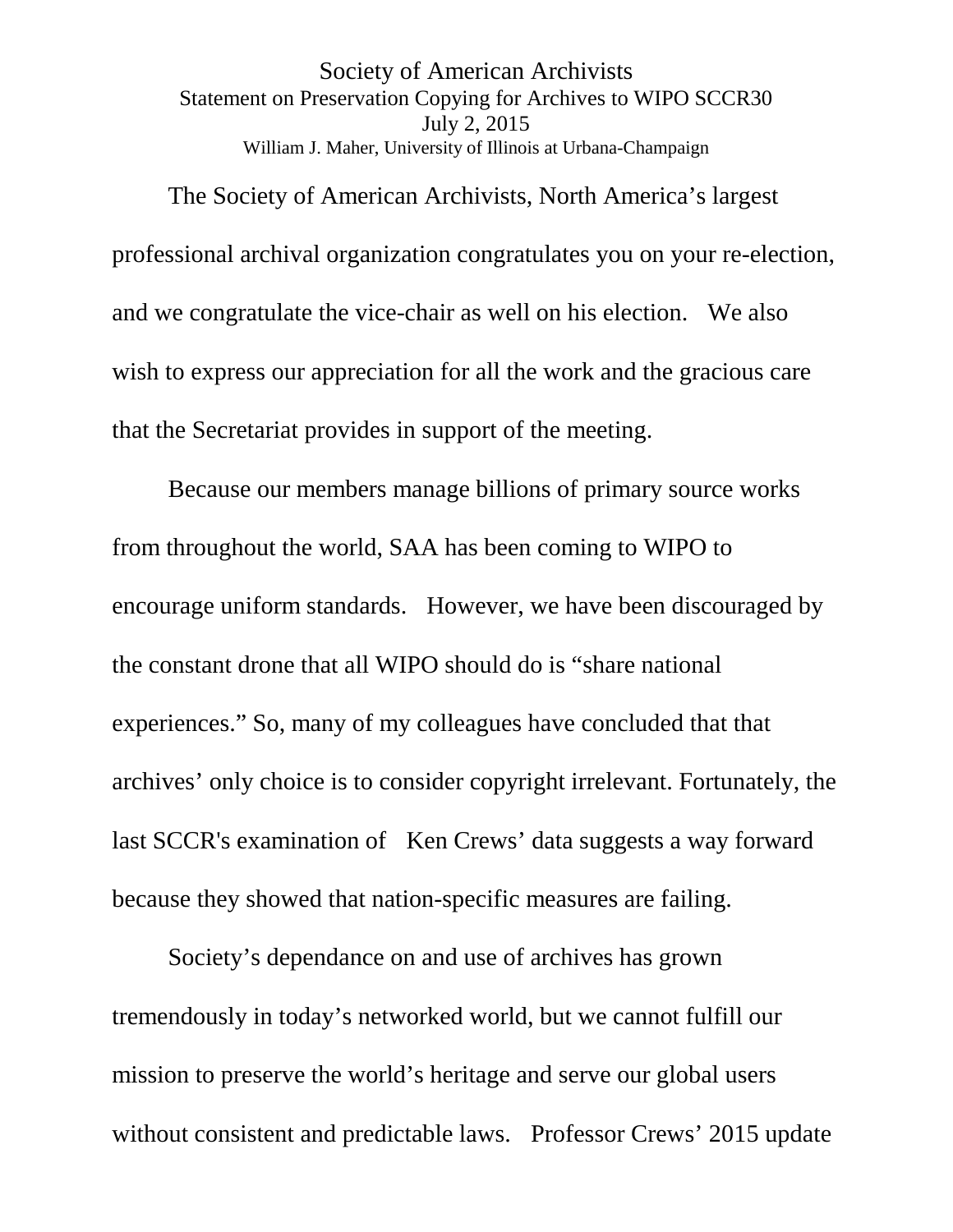Society of American Archivists Statement on Preservation Copying for Archives to WIPO SCCR30 July 2, 2015 William J. Maher, University of Illinois at Urbana-Champaign

The Society of American Archivists, North America's largest professional archival organization congratulates you on your re-election, and we congratulate the vice-chair as well on his election. We also wish to express our appreciation for all the work and the gracious care that the Secretariat provides in support of the meeting.

Because our members manage billions of primary source works from throughout the world, SAA has been coming to WIPO to encourage uniform standards. However, we have been discouraged by the constant drone that all WIPO should do is "share national experiences." So, many of my colleagues have concluded that that archives' only choice is to consider copyright irrelevant. Fortunately, the last SCCR's examination of Ken Crews' data suggests a way forward because they showed that nation-specific measures are failing.

Society's dependance on and use of archives has grown tremendously in today's networked world, but we cannot fulfill our mission to preserve the world's heritage and serve our global users without consistent and predictable laws. Professor Crews' 2015 update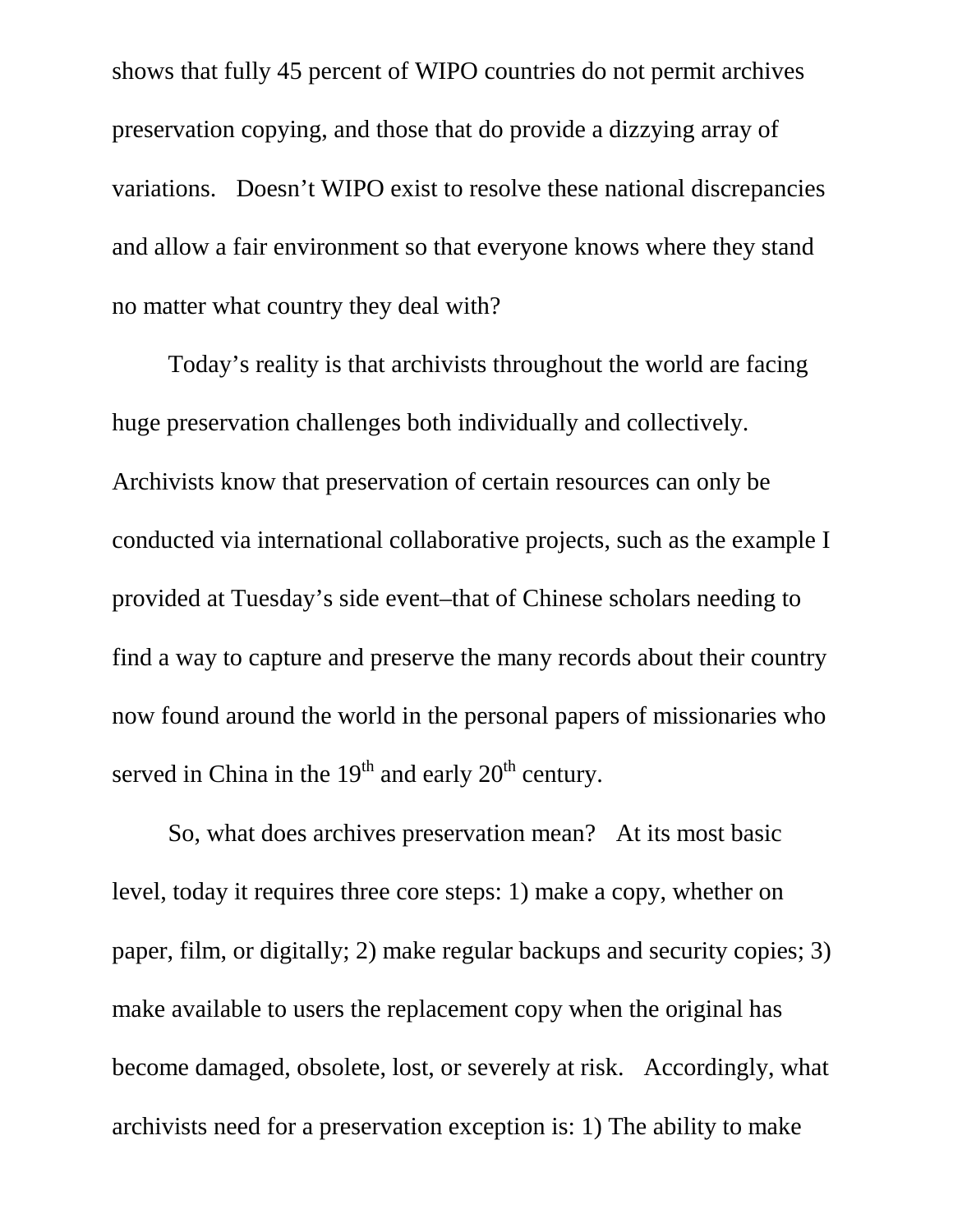shows that fully 45 percent of WIPO countries do not permit archives preservation copying, and those that do provide a dizzying array of variations. Doesn't WIPO exist to resolve these national discrepancies and allow a fair environment so that everyone knows where they stand no matter what country they deal with?

Today's reality is that archivists throughout the world are facing huge preservation challenges both individually and collectively. Archivists know that preservation of certain resources can only be conducted via international collaborative projects, such as the example I provided at Tuesday's side event–that of Chinese scholars needing to find a way to capture and preserve the many records about their country now found around the world in the personal papers of missionaries who served in China in the  $19<sup>th</sup>$  and early  $20<sup>th</sup>$  century.

So, what does archives preservation mean? At its most basic level, today it requires three core steps: 1) make a copy, whether on paper, film, or digitally; 2) make regular backups and security copies; 3) make available to users the replacement copy when the original has become damaged, obsolete, lost, or severely at risk. Accordingly, what archivists need for a preservation exception is: 1) The ability to make